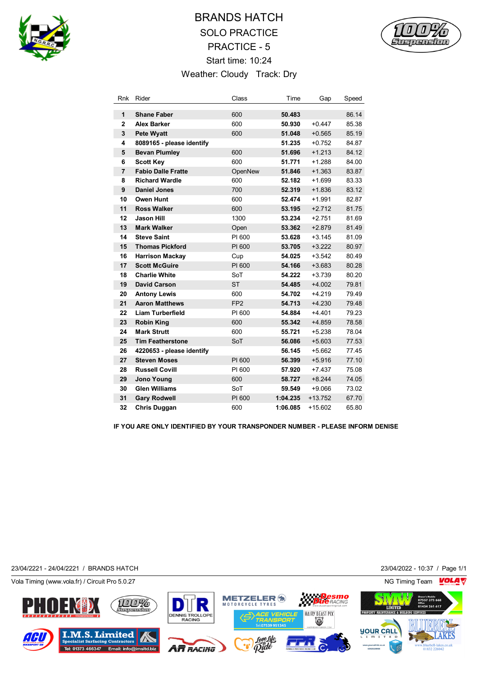

## BRANDS HATCH SOLO PRACTICE PRACTICE - 5 Start time: 10:24 Weather: Cloudy Track: Dry



| Rnk            | Rider                     | Class           | Time     | Gap      | Speed |
|----------------|---------------------------|-----------------|----------|----------|-------|
| 1              | <b>Shane Faber</b>        | 600             | 50.483   |          | 86.14 |
| $\mathbf{2}$   | <b>Alex Barker</b>        | 600             | 50.930   | $+0.447$ | 85.38 |
| 3              | <b>Pete Wyatt</b>         | 600             | 51.048   | $+0.565$ | 85.19 |
| 4              | 8089165 - please identify |                 | 51.235   | $+0.752$ | 84.87 |
| 5              | <b>Bevan Plumley</b>      | 600             | 51.696   | $+1.213$ | 84.12 |
| 6              | <b>Scott Key</b>          | 600             | 51.771   | $+1.288$ | 84.00 |
| $\overline{7}$ | <b>Fabio Dalle Fratte</b> | OpenNew         | 51.846   | $+1.363$ | 83.87 |
| 8              | <b>Richard Wardle</b>     | 600             | 52.182   | $+1.699$ | 83.33 |
| 9              | <b>Daniel Jones</b>       | 700             | 52.319   | $+1.836$ | 83.12 |
| 10             | Owen Hunt                 | 600             | 52.474   | $+1.991$ | 82.87 |
| 11             | <b>Ross Walker</b>        | 600             | 53.195   | $+2.712$ | 81.75 |
| 12             | <b>Jason Hill</b>         | 1300            | 53.234   | $+2.751$ | 81.69 |
| 13             | <b>Mark Walker</b>        | Open            | 53.362   | $+2.879$ | 81.49 |
| 14             | <b>Steve Saint</b>        | PI 600          | 53.628   | $+3.145$ | 81.09 |
| 15             | <b>Thomas Pickford</b>    | PI 600          | 53.705   | $+3.222$ | 80.97 |
| 16             | <b>Harrison Mackay</b>    | Cup             | 54.025   | $+3.542$ | 80.49 |
| 17             | <b>Scott McGuire</b>      | PI 600          | 54.166   | $+3.683$ | 80.28 |
| 18             | <b>Charlie White</b>      | SoT             | 54.222   | $+3.739$ | 80.20 |
| 19             | <b>David Carson</b>       | <b>ST</b>       | 54.485   | $+4.002$ | 79.81 |
| 20             | <b>Antony Lewis</b>       | 600             | 54.702   | $+4.219$ | 79.49 |
| 21             | <b>Aaron Matthews</b>     | FP <sub>2</sub> | 54.713   | $+4.230$ | 79.48 |
| 22             | <b>Liam Turberfield</b>   | PI 600          | 54.884   | $+4.401$ | 79.23 |
| 23             | <b>Robin King</b>         | 600             | 55.342   | $+4.859$ | 78.58 |
| 24             | <b>Mark Strutt</b>        | 600             | 55.721   | $+5.238$ | 78.04 |
| 25             | <b>Tim Featherstone</b>   | SoT             | 56.086   | $+5.603$ | 77.53 |
| 26             | 4220653 - please identify |                 | 56.145   | $+5.662$ | 77.45 |
| 27             | <b>Steven Moses</b>       | PI 600          | 56.399   | $+5.916$ | 77.10 |
| 28             | <b>Russell Covill</b>     | PI 600          | 57.920   | $+7.437$ | 75.08 |
| 29             | <b>Jono Young</b>         | 600             | 58.727   | $+8.244$ | 74.05 |
| 30             | <b>Glen Williams</b>      | SoT             | 59.549   | $+9.066$ | 73.02 |
| 31             | <b>Gary Rodwell</b>       | PI 600          | 1:04.235 | +13.752  | 67.70 |
| 32             | Chris Duggan              | 600             | 1:06.085 | +15.602  | 65.80 |

**IF YOU ARE ONLY IDENTIFIED BY YOUR TRANSPONDER NUMBER - PLEASE INFORM DENISE**

23/04/2221 - 24/04/2221 / BRANDS HATCH 23/04/2022 - 10:37 / Page 1/1

Vola Timing (www.vola.fr) / Circuit Pro 5.0.27 NG Timing Team NG Timing Team NG Timing Team NG Timing Team NG

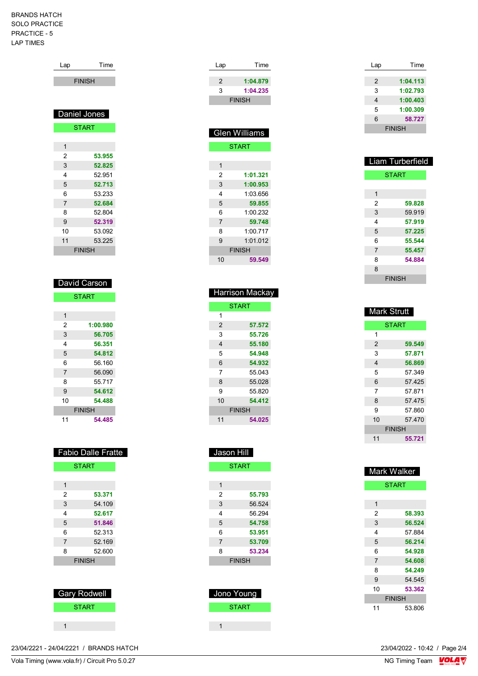## BRANDS HATCH SOLO PRACTICE PRACTICE - 5 LAP TIMES

| Time          |
|---------------|
| <b>FINISH</b> |
|               |
|               |
| Daniel Jones  |
| <b>START</b>  |
|               |
|               |
| 53.955        |
| 52.825        |
| 52.951        |
| 52.713        |
| 53.233        |
| 52.684        |
| 52.804        |
| 52.319        |
| 53.092        |
| 53.225        |
| <b>FINISH</b> |
|               |

| David Carson   |               |  |
|----------------|---------------|--|
|                | <b>START</b>  |  |
|                |               |  |
| 1              |               |  |
| 2              | 1:00.980      |  |
| 3              | 56.705        |  |
| 4              | 56.351        |  |
| 5              | 54.812        |  |
| 6              | 56.160        |  |
| $\overline{7}$ | 56.090        |  |
| 8              | 55 717        |  |
| 9              | 54.612        |  |
| 10             | 54.488        |  |
|                | <b>FINISH</b> |  |
| 11             | 54.485        |  |

|               | <b>Fabio Dalle Fratte</b> |
|---------------|---------------------------|
| <b>START</b>  |                           |
|               |                           |
| 1             |                           |
| 2             | 53.371                    |
| 3             | 54.109                    |
| 4             | 52.617                    |
| 5             | 51.846                    |
| 6             | 52.313                    |
| 7             | 52.169                    |
| 8             | 52.600                    |
| <b>FINISH</b> |                           |
|               |                           |

| Gary Rodwell |
|--------------|
| <b>START</b> |
|              |
|              |

| Lap           | Time          |
|---------------|---------------|
| $\mathcal{P}$ | 1:04.879      |
| 3             | 1:04.235      |
|               | <b>FINISH</b> |
|               |               |
|               |               |

|               | <b>Glen Williams</b> |  |
|---------------|----------------------|--|
| <b>START</b>  |                      |  |
|               |                      |  |
| 1             |                      |  |
| 2             | 1:01.321             |  |
| 3             | 1:00.953             |  |
| 4             | 1:03.656             |  |
| 5             | 59.855               |  |
| 6             | 1:00232              |  |
| 7             | 59.748               |  |
| 8             | 1:00717              |  |
| 9             | 1.01012              |  |
| <b>FINISH</b> |                      |  |
| 10            | 59.549               |  |

|    | <b>Harrison Mackay</b> |
|----|------------------------|
|    | <b>START</b>           |
| 1  |                        |
| 2  | 57.572                 |
| 3  | 55.726                 |
| 4  | 55.180                 |
| 5  | 54.948                 |
| 6  | 54.932                 |
| 7  | 55.043                 |
| 8  | 55.028                 |
| 9  | 55820                  |
| 10 | 54.412                 |
|    | <b>FINISH</b>          |
| 11 | 54.025                 |

| Jason Hill     |               |  |
|----------------|---------------|--|
|                | <b>START</b>  |  |
|                |               |  |
| 1              |               |  |
| 2              | 55.793        |  |
| 3              | 56.524        |  |
| 4              | 56 294        |  |
| 5              | 54.758        |  |
| 6              | 53.951        |  |
| $\overline{7}$ | 53.709        |  |
| 8              | 53.234        |  |
|                | <b>FINISH</b> |  |
|                |               |  |
|                |               |  |
| Jono Young     |               |  |
| START          |               |  |

 $1 - 1$ 

| Lap | Time          |
|-----|---------------|
|     |               |
| 2   | 1:04.113      |
| 3   | 1:02.793      |
| 4   | 1:00.403      |
| 5   | 1:00.309      |
| 6   | 58.727        |
|     | <b>FINISH</b> |

|   | <b>Liam Turberfield</b> |
|---|-------------------------|
|   | <b>START</b>            |
|   |                         |
| 1 |                         |
| 2 | 59.828                  |
| 3 | 59.919                  |
| 4 | 57.919                  |
| 5 | 57.225                  |
| 6 | 55.544                  |
| 7 | 55.457                  |
| 8 | 54.884                  |
| 8 |                         |
|   | <b>FINISH</b>           |

| <b>Mark Strutt</b> |               |
|--------------------|---------------|
|                    | <b>START</b>  |
| 1                  |               |
| 2                  | 59.549        |
| 3                  | 57.871        |
| 4                  | 56.869        |
| 5                  | 57.349        |
| 6                  | 57.425        |
| 7                  | 57871         |
| 8                  | 57.475        |
| 9                  | 57.860        |
| 10                 | 57 470        |
|                    | <b>FINISH</b> |
| 11                 | 55.721        |

| <b>Mark Walker</b> |               |
|--------------------|---------------|
|                    | <b>START</b>  |
|                    |               |
| 1                  |               |
| 2                  | 58.393        |
| 3                  | 56.524        |
| 4                  | 57.884        |
| 5                  | 56.214        |
| 6                  | 54.928        |
| $\overline{7}$     | 54.608        |
| 8                  | 54.249        |
| 9                  | 54.545        |
| 10                 | 53.362        |
|                    | <b>FINISH</b> |
| 11                 | 53.806        |

23/04/2221 - 24/04/2221 / BRANDS HATCH

Vola Timing (www.vola.fr) / Circuit Pro 5.0.27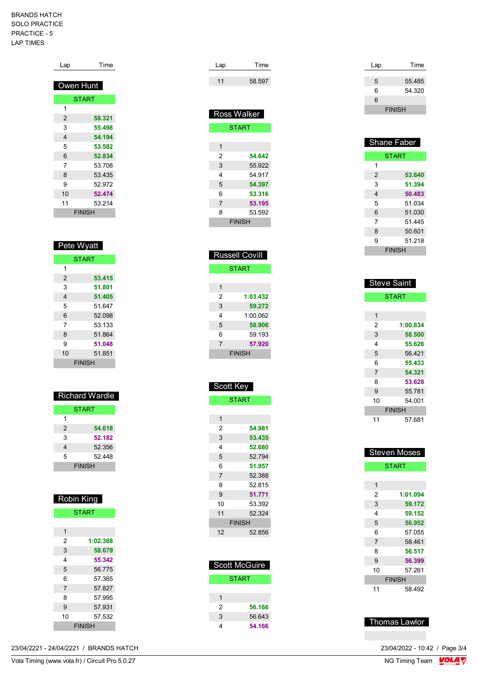## BRANDS HATCH SOLO PRACTICE PRACTICE - 5 LAP TIMES

| Lap           | Time   |
|---------------|--------|
| Owen Hunt     |        |
| <b>START</b>  |        |
| 1             |        |
| 2             | 58.321 |
| 3             | 55.498 |
| 4             | 54.194 |
| 5             | 53.582 |
| 6             | 52.834 |
| 7             | 53.708 |
| 8             | 53.435 |
| 9             | 52.972 |
| 10            | 52.474 |
| 11            | 53.214 |
| <b>FINISH</b> |        |
|               |        |
|               |        |

| Pete Wyatt |               |
|------------|---------------|
|            | <b>START</b>  |
| 1          |               |
| 2          | 53.415        |
| 3          | 51.801        |
| 4          | 51.405        |
| 5          | 51.647        |
| 6          | 52.098        |
| 7          | 53 133        |
| 8          | 51.864        |
| 9          | 51.048        |
| 10         | 51.851        |
|            | <b>FINISH</b> |

| <b>Richard Wardle</b> |              |
|-----------------------|--------------|
|                       | <b>START</b> |
| 1                     |              |
| 2                     | 54.618       |
| 3                     | 52.182       |
| 4                     | 52.356       |
| 5                     | 52.448       |
| <b>FINISH</b>         |              |

| <b>Robin King</b> |               |
|-------------------|---------------|
|                   | <b>START</b>  |
|                   |               |
| 1                 |               |
| 2                 | 1:02.368      |
| 3                 | 58.679        |
| 4                 | 55.342        |
| 5                 | 56.775        |
| 6                 | 57 365        |
| 7                 | 57.827        |
| 8                 | 57.995        |
| 9                 | 57.931        |
| 10                | 57 532        |
|                   | <b>FINISH</b> |

| Lap | Time   |
|-----|--------|
| 11  | 58.597 |

| <b>Ross Walker</b> |              |
|--------------------|--------------|
|                    | <b>START</b> |
|                    |              |
| 1                  |              |
| 2                  | 54.642       |
| 3                  | 55.922       |
| 4                  | 54 917       |
| 5                  | 54.397       |
| 6                  | 53.316       |
| $\overline{7}$     | 53.195       |
| 8                  | 53.592       |
| <b>FINISH</b>      |              |
|                    |              |

| <b>Russell Covill</b> |          |  |
|-----------------------|----------|--|
| <b>START</b>          |          |  |
|                       |          |  |
| 1                     |          |  |
| 2                     | 1:03.432 |  |
| 3                     | 59.272   |  |
| 4                     | 1:000062 |  |
| 5                     | 58.906   |  |
| 6                     | 59.193   |  |
| $\overline{7}$        | 57.920   |  |
| <b>FINISH</b>         |          |  |

| Scott Key      |               |  |  |
|----------------|---------------|--|--|
|                | <b>START</b>  |  |  |
|                |               |  |  |
| 1              |               |  |  |
| 2              | 54.981        |  |  |
| 3              | 53.435        |  |  |
| 4              | 52.680        |  |  |
| 5              | 52.794        |  |  |
| 6              | 51.957        |  |  |
| $\overline{7}$ | 52.388        |  |  |
| 8              | 52815         |  |  |
| 9              | 51.771        |  |  |
| 10             | 53.392        |  |  |
| 11             | 52 324        |  |  |
|                | <b>FINISH</b> |  |  |

| <b>Scott McGuire</b> |        |
|----------------------|--------|
|                      | START  |
|                      |        |
| 1                    |        |
| 2                    | 56.166 |
| 3                    | 56.643 |
|                      | 54.166 |

52.856

| Lap | Time          |
|-----|---------------|
|     |               |
| 5   | 55.485        |
| 6   | 54.320        |
| 6   |               |
|     | <b>FINISH</b> |

| <b>Shane Faber</b> |        |  |
|--------------------|--------|--|
| <b>START</b>       |        |  |
| 1                  |        |  |
| 2                  | 53.640 |  |
| 3                  | 51.394 |  |
| 4                  | 50.483 |  |
| 5                  | 51.034 |  |
| 6                  | 51.030 |  |
| 7                  | 51 445 |  |
| 8                  | 50.601 |  |
| 9                  | 51.218 |  |
| <b>FINISH</b>      |        |  |

| <b>Steve Saint</b> |          |  |
|--------------------|----------|--|
| <b>START</b>       |          |  |
|                    |          |  |
| 1                  |          |  |
| 2                  | 1:00.834 |  |
| 3                  | 58.500   |  |
| 4                  | 55.626   |  |
| 5                  | 56.421   |  |
| 6                  | 55.433   |  |
| $\overline{7}$     | 54.321   |  |
| 8                  | 53.628   |  |
| 9                  | 55.781   |  |
| 10                 | 54.001   |  |
| <b>FINISH</b>      |          |  |
| 11                 | 57.681   |  |

| <b>Steven Moses</b> |          |  |
|---------------------|----------|--|
| <b>START</b>        |          |  |
|                     |          |  |
| 1                   |          |  |
| 2                   | 1:01.094 |  |
| 3                   | 59.172   |  |
| 4                   | 59.152   |  |
| 5                   | 56.952   |  |
| 6                   | 57.055   |  |
| $\overline{7}$      | 58.461   |  |
| 8                   | 56.517   |  |
| 9                   | 56.399   |  |
| 10                  | 57.261   |  |
| <b>FINISH</b>       |          |  |
| 11                  | 58 492   |  |

## Thomas Lawlor